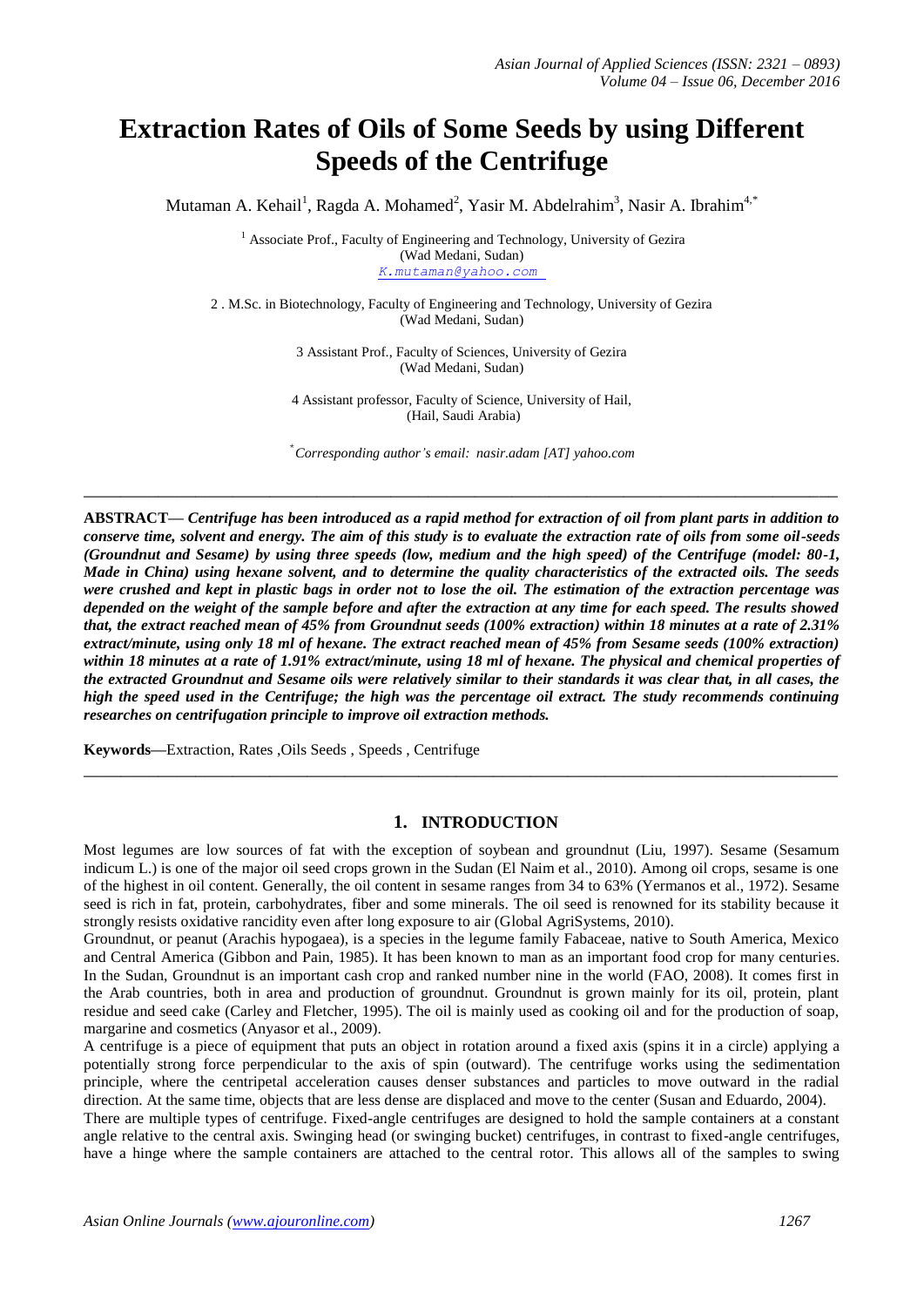# **Extraction Rates of Oils of Some Seeds by using Different Speeds of the Centrifuge**

Mutaman A. Kehail<sup>1</sup>, Ragda A. Mohamed<sup>2</sup>, Yasir M. Abdelrahim<sup>3</sup>, Nasir A. Ibrahim<sup>4,\*</sup>

<sup>1</sup> Associate Prof., Faculty of Engineering and Technology, University of Gezira (Wad Medani, Sudan) *K.mutaman@yahoo.com*

2 . M.Sc. in Biotechnology, Faculty of Engineering and Technology, University of Gezira (Wad Medani, Sudan)

> 3 Assistant Prof., Faculty of Sciences, University of Gezira (Wad Medani, Sudan)

4 Assistant professor, Faculty of Science, University of Hail, (Hail, Saudi Arabia)

\* *Corresponding author's email: nasir.adam [AT] yahoo.com*

**\_\_\_\_\_\_\_\_\_\_\_\_\_\_\_\_\_\_\_\_\_\_\_\_\_\_\_\_\_\_\_\_\_\_\_\_\_\_\_\_\_\_\_\_\_\_\_\_\_\_\_\_\_\_\_\_\_\_\_\_\_\_\_\_\_\_\_\_\_\_\_\_\_\_\_\_\_\_\_\_\_**

**ABSTRACT—** *Centrifuge has been introduced as a rapid method for extraction of oil from plant parts in addition to conserve time, solvent and energy. The aim of this study is to evaluate the extraction rate of oils from some oil-seeds (Groundnut and Sesame) by using three speeds (low, medium and the high speed) of the Centrifuge (model: 80-1, Made in China) using hexane solvent, and to determine the quality characteristics of the extracted oils. The seeds were crushed and kept in plastic bags in order not to lose the oil. The estimation of the extraction percentage was depended on the weight of the sample before and after the extraction at any time for each speed. The results showed that, the extract reached mean of 45% from Groundnut seeds (100% extraction) within 18 minutes at a rate of 2.31% extract/minute, using only 18 ml of hexane. The extract reached mean of 45% from Sesame seeds (100% extraction)*  within 18 minutes at a rate of 1.91% extract/minute, using 18 ml of hexane. The physical and chemical properties of *the extracted Groundnut and Sesame oils were relatively similar to their standards it was clear that, in all cases, the high the speed used in the Centrifuge; the high was the percentage oil extract. The study recommends continuing researches on centrifugation principle to improve oil extraction methods.*

**Keywords—**Extraction, Rates ,Oils Seeds , Speeds , Centrifuge

## **1. INTRODUCTION**

**\_\_\_\_\_\_\_\_\_\_\_\_\_\_\_\_\_\_\_\_\_\_\_\_\_\_\_\_\_\_\_\_\_\_\_\_\_\_\_\_\_\_\_\_\_\_\_\_\_\_\_\_\_\_\_\_\_\_\_\_\_\_\_\_\_\_\_\_\_\_\_\_\_\_\_\_\_\_\_\_\_**

Most legumes are low sources of fat with the exception of soybean and groundnut (Liu, 1997). Sesame (Sesamum indicum L.) is one of the major oil seed crops grown in the Sudan (El Naim et al., 2010). Among oil crops, sesame is one of the highest in oil content. Generally, the oil content in sesame ranges from 34 to 63% (Yermanos et al., 1972). Sesame seed is rich in fat, protein, carbohydrates, fiber and some minerals. The oil seed is renowned for its stability because it strongly resists oxidative rancidity even after long exposure to air (Global AgriSystems, 2010).

Groundnut, or peanut (Arachis hypogaea), is a species in the legume family Fabaceae, native to South America, Mexico and Central America (Gibbon and Pain, 1985). It has been known to man as an important food crop for many centuries. In the Sudan, Groundnut is an important cash crop and ranked number nine in the world (FAO, 2008). It comes first in the Arab countries, both in area and production of groundnut. Groundnut is grown mainly for its oil, protein, plant residue and seed cake (Carley and Fletcher, 1995). The oil is mainly used as cooking oil and for the production of soap, margarine and cosmetics (Anyasor et al., 2009).

A centrifuge is a piece of equipment that puts an object in [rotation around a fixed axis](http://en.wikipedia.org/wiki/Rotation_around_a_fixed_axis) (spins it in a circle) applying a potentially strong force perpendicular to the axis of spin (outward). The centrifuge works using the [sedimentation](http://en.wikipedia.org/wiki/Sedimentation)  [principle,](http://en.wikipedia.org/wiki/Sedimentation) where the centripetal acceleration causes denser substances and particles to move outward in the radial direction. At the same time, objects that are less dense are displaced and move to the center (Susan and Eduardo, 2004).

There are multiple types of centrifuge. Fixed-angle centrifuges are designed to hold the sample containers at a constant angle relative to the central axis. Swinging head (or swinging bucket) centrifuges, in contrast to fixed-angle centrifuges, have a hinge where the sample containers are attached to the central rotor. This allows all of the samples to swing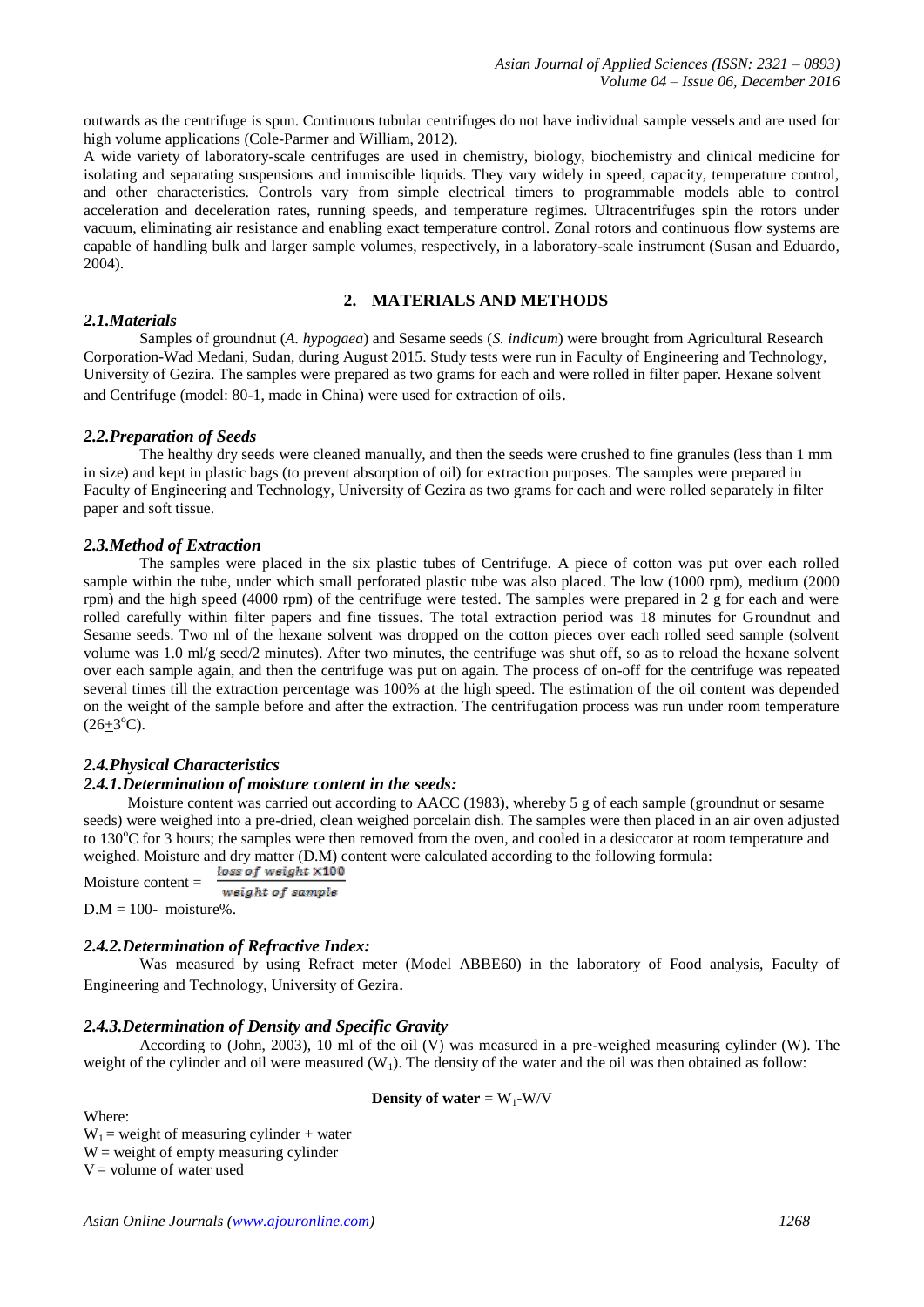outwards as the centrifuge is spun. Continuous tubular centrifuges do not have individual sample vessels and are used for high volume applications (Cole-Parmer and William, 2012).

A wide variety of laboratory-scale centrifuges are used in chemistry, biology, biochemistry and clinical medicine for isolating and separating suspensions and immiscible liquids. They vary widely in speed, capacity, temperature control, and other characteristics. Controls vary from simple electrical timers to programmable models able to control acceleration and deceleration rates, running speeds, and temperature regimes. Ultracentrifuges spin the rotors under vacuum, eliminating air resistance and enabling exact temperature control. Zonal rotors and continuous flow systems are capable of handling bulk and larger sample volumes, respectively, in a laboratory-scale instrument (Susan and Eduardo, 2004).

# **2. MATERIALS AND METHODS**

## *2.1.Materials*

Samples of groundnut (*A. hypogaea*) and Sesame seeds (*S. indicum*) were brought from Agricultural Research Corporation-Wad Medani, Sudan, during August 2015. Study tests were run in Faculty of Engineering and Technology, University of Gezira. The samples were prepared as two grams for each and were rolled in filter paper. Hexane solvent and Centrifuge (model: 80-1, made in China) were used for extraction of oils.

#### *2.2.Preparation of Seeds*

The healthy dry seeds were cleaned manually, and then the seeds were crushed to fine granules (less than 1 mm in size) and kept in plastic bags (to prevent absorption of oil) for extraction purposes. The samples were prepared in Faculty of Engineering and Technology, University of Gezira as two grams for each and were rolled separately in filter paper and soft tissue.

## *2.3.Method of Extraction*

The samples were placed in the six plastic tubes of Centrifuge. A piece of cotton was put over each rolled sample within the tube, under which small perforated plastic tube was also placed. The low (1000 rpm), medium (2000 rpm) and the high speed (4000 rpm) of the centrifuge were tested. The samples were prepared in 2 g for each and were rolled carefully within filter papers and fine tissues. The total extraction period was 18 minutes for Groundnut and Sesame seeds. Two ml of the hexane solvent was dropped on the cotton pieces over each rolled seed sample (solvent volume was 1.0 ml/g seed/2 minutes). After two minutes, the centrifuge was shut off, so as to reload the hexane solvent over each sample again, and then the centrifuge was put on again. The process of on-off for the centrifuge was repeated several times till the extraction percentage was 100% at the high speed. The estimation of the oil content was depended on the weight of the sample before and after the extraction. The centrifugation process was run under room temperature  $(26\pm3^{\circ}C).$ 

## *2.4.Physical Characteristics*

## *2.4.1.Determination of moisture content in the seeds:*

Moisture content was carried out according to AACC (1983), whereby 5 g of each sample (groundnut or sesame seeds) were weighed into a pre-dried, clean weighed porcelain dish. The samples were then placed in an air oven adjusted to 130<sup>o</sup>C for 3 hours; the samples were then removed from the oven, and cooled in a desiccator at room temperature and weighed. Moisture and dry matter (D.M) content were calculated according to the following formula:<br>Matter we were the following formula:

```
Moisture content = 
         weight of sample
```
 $D.M = 100$ - moisture%.

Where:

#### *2.4.2.Determination of Refractive Index:*

Was measured by using Refract meter (Model ABBE60) in the laboratory of Food analysis, Faculty of Engineering and Technology, University of Gezira.

#### *2.4.3.Determination of Density and Specific Gravity*

According to (John, 2003), 10 ml of the oil (V) was measured in a pre-weighed measuring cylinder (W). The weight of the cylinder and oil were measured  $(W_1)$ . The density of the water and the oil was then obtained as follow:

**Density of water** =  $W_1$ -W/V

 $W_1$  = weight of measuring cylinder + water  $W = weight of empty measuring cylinder$  $V =$  volume of water used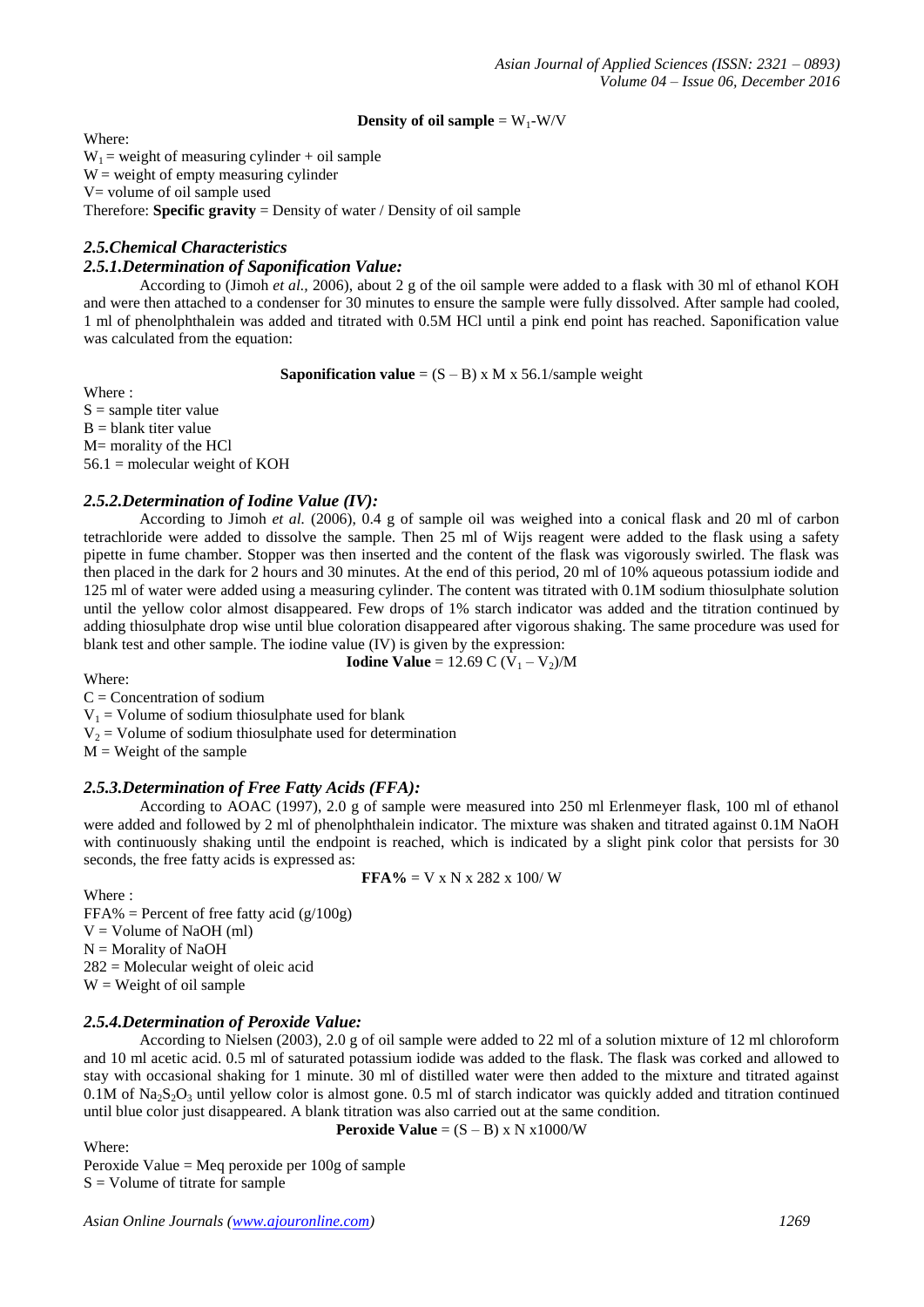## **Density of oil sample** =  $W_1-W/V$

Where:  $W_1$  = weight of measuring cylinder + oil sample  $W =$  weight of empty measuring cylinder V= volume of oil sample used Therefore: **Specific gravity** = Density of water / Density of oil sample

# *2.5.Chemical Characteristics*

# *2.5.1.Determination of Saponification Value:*

According to (Jimoh *et al.,* 2006), about 2 g of the oil sample were added to a flask with 30 ml of ethanol KOH and were then attached to a condenser for 30 minutes to ensure the sample were fully dissolved. After sample had cooled, 1 ml of phenolphthalein was added and titrated with 0.5M HCl until a pink end point has reached. Saponification value was calculated from the equation:

**Saponification value** =  $(S - B)$  x M x 56.1/sample weight

Where :

 $S =$ sample titer value  $B =$  blank titer value M= morality of the HCl  $56.1$  = molecular weight of KOH

## *2.5.2.Determination of Iodine Value (IV):*

According to Jimoh *et al.* (2006), 0.4 g of sample oil was weighed into a conical flask and 20 ml of carbon tetrachloride were added to dissolve the sample. Then 25 ml of Wijs reagent were added to the flask using a safety pipette in fume chamber. Stopper was then inserted and the content of the flask was vigorously swirled. The flask was then placed in the dark for 2 hours and 30 minutes. At the end of this period, 20 ml of 10% aqueous potassium iodide and 125 ml of water were added using a measuring cylinder. The content was titrated with 0.1M sodium thiosulphate solution until the yellow color almost disappeared. Few drops of 1% starch indicator was added and the titration continued by adding thiosulphate drop wise until blue coloration disappeared after vigorous shaking. The same procedure was used for blank test and other sample. The iodine value (IV) is given by the expression:

**Iodine Value** = 12.69 C  $(V_1 - V_2)/M$ 

Where:

 $C =$  Concentration of sodium

 $V_1$  = Volume of sodium thiosulphate used for blank

 $V_2$  = Volume of sodium thiosulphate used for determination

 $M = Weight of the sample$ 

# *2.5.3.Determination of Free Fatty Acids (FFA):*

According to AOAC (1997), 2.0 g of sample were measured into 250 ml Erlenmeyer flask, 100 ml of ethanol were added and followed by 2 ml of phenolphthalein indicator. The mixture was shaken and titrated against 0.1M NaOH with continuously shaking until the endpoint is reached, which is indicated by a slight pink color that persists for 30 seconds, the free fatty acids is expressed as:

 $$ 

Where :  $FFA% = Percent of free fatty acid (g/100g)$  $V =$  Volume of NaOH (ml)  $N =$  Morality of NaOH  $282$  = Molecular weight of oleic acid  $W = Weight of oil sample$ 

# *2.5.4.Determination of Peroxide Value:*

According to Nielsen (2003), 2.0 g of oil sample were added to 22 ml of a solution mixture of 12 ml chloroform and 10 ml acetic acid. 0.5 ml of saturated potassium iodide was added to the flask. The flask was corked and allowed to stay with occasional shaking for 1 minute. 30 ml of distilled water were then added to the mixture and titrated against 0.1M of  $\text{Na}_2\text{S}_2\text{O}_3$  until yellow color is almost gone. 0.5 ml of starch indicator was quickly added and titration continued until blue color just disappeared. A blank titration was also carried out at the same condition.

Where:

**Peroxide Value** =  $(S - B)$  x N x1000/W

Peroxide Value = Meq peroxide per 100g of sample  $S =$  Volume of titrate for sample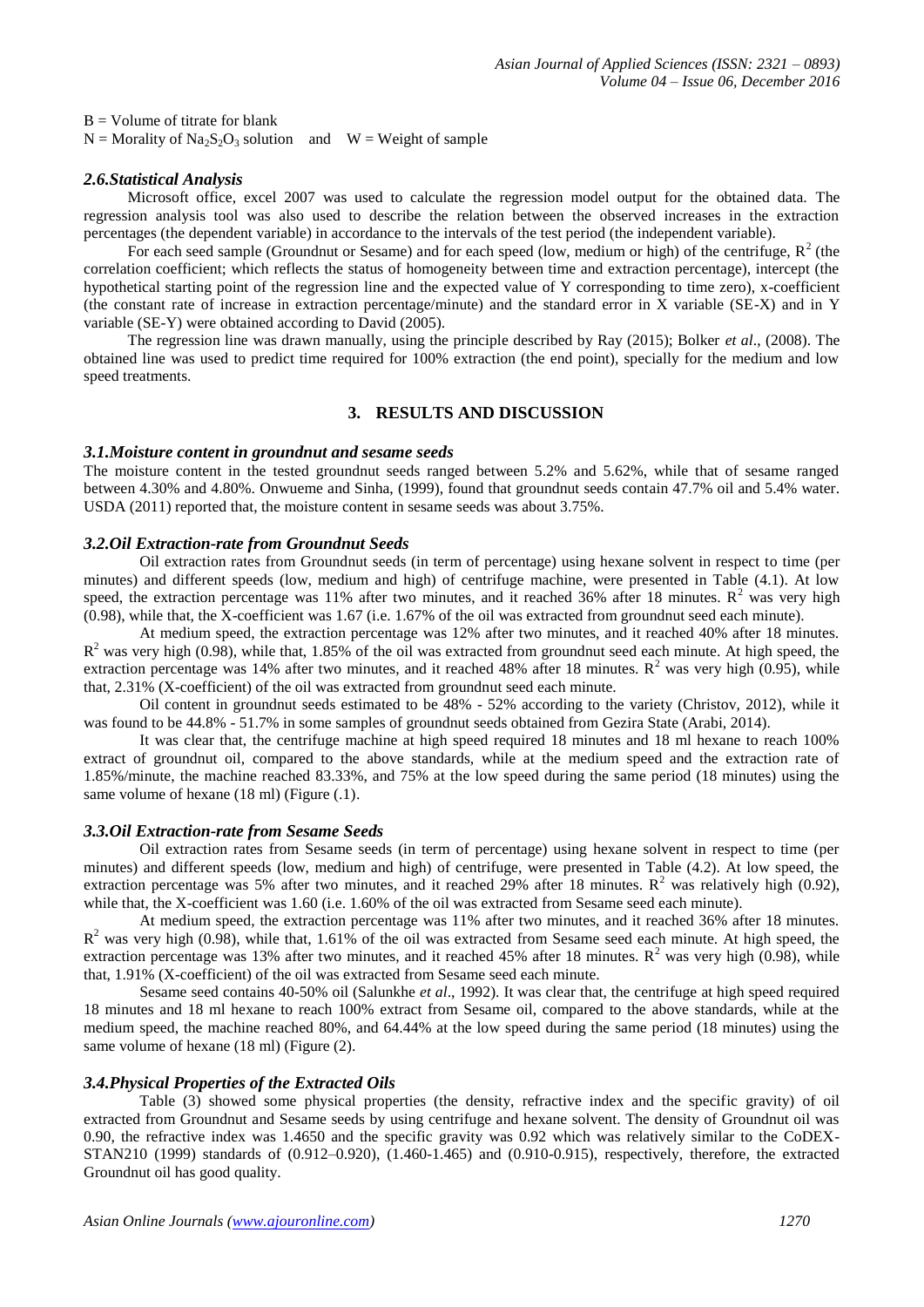$B =$  Volume of titrate for blank

 $N =$  Morality of Na<sub>2</sub>S<sub>2</sub>O<sub>3</sub> solution and  $W =$  Weight of sample

## *2.6.Statistical Analysis*

Microsoft office, excel 2007 was used to calculate the regression model output for the obtained data. The regression analysis tool was also used to describe the relation between the observed increases in the extraction percentages (the dependent variable) in accordance to the intervals of the test period (the independent variable).

For each seed sample (Groundnut or Sesame) and for each speed (low, medium or high) of the centrifuge,  $R^2$  (the correlation coefficient; which reflects the status of homogeneity between time and extraction percentage), intercept (the hypothetical starting point of the regression line and the expected value of Y corresponding to time zero), x-coefficient (the constant rate of increase in extraction percentage/minute) and the standard error in X variable (SE-X) and in Y variable (SE-Y) were obtained according to David (2005).

The regression line was drawn manually, using the principle described by Ray (2015); Bolker *et al*., (2008). The obtained line was used to predict time required for 100% extraction (the end point), specially for the medium and low speed treatments.

## **3. RESULTS AND DISCUSSION**

#### *3.1.Moisture content in groundnut and sesame seeds*

The moisture content in the tested groundnut seeds ranged between 5.2% and 5.62%, while that of sesame ranged between 4.30% and 4.80%. Onwueme and Sinha, (1999), found that groundnut seeds contain 47.7% oil and 5.4% water. USDA (2011) reported that, the moisture content in sesame seeds was about 3.75%.

## *3.2.Oil Extraction-rate from Groundnut Seeds*

Oil extraction rates from Groundnut seeds (in term of percentage) using hexane solvent in respect to time (per minutes) and different speeds (low, medium and high) of centrifuge machine, were presented in Table (4.1). At low speed, the extraction percentage was 11% after two minutes, and it reached 36% after 18 minutes.  $R^2$  was very high (0.98), while that, the X-coefficient was 1.67 (i.e. 1.67% of the oil was extracted from groundnut seed each minute).

At medium speed, the extraction percentage was 12% after two minutes, and it reached 40% after 18 minutes.  $R<sup>2</sup>$  was very high (0.98), while that, 1.85% of the oil was extracted from groundnut seed each minute. At high speed, the extraction percentage was 14% after two minutes, and it reached 48% after 18 minutes.  $R^2$  was very high (0.95), while that, 2.31% (X-coefficient) of the oil was extracted from groundnut seed each minute.

Oil content in groundnut seeds estimated to be 48% - 52% according to the variety (Christov, 2012), while it was found to be 44.8% - 51.7% in some samples of groundnut seeds obtained from Gezira State (Arabi, 2014).

It was clear that, the centrifuge machine at high speed required 18 minutes and 18 ml hexane to reach 100% extract of groundnut oil, compared to the above standards, while at the medium speed and the extraction rate of 1.85%/minute, the machine reached 83.33%, and 75% at the low speed during the same period (18 minutes) using the same volume of hexane (18 ml) (Figure (.1).

## *3.3.Oil Extraction-rate from Sesame Seeds*

Oil extraction rates from Sesame seeds (in term of percentage) using hexane solvent in respect to time (per minutes) and different speeds (low, medium and high) of centrifuge, were presented in Table (4.2). At low speed, the extraction percentage was 5% after two minutes, and it reached 29% after 18 minutes.  $R^2$  was relatively high (0.92), while that, the X-coefficient was 1.60 (i.e. 1.60% of the oil was extracted from Sesame seed each minute).

At medium speed, the extraction percentage was 11% after two minutes, and it reached 36% after 18 minutes.  $R<sup>2</sup>$  was very high (0.98), while that, 1.61% of the oil was extracted from Sesame seed each minute. At high speed, the extraction percentage was 13% after two minutes, and it reached 45% after 18 minutes.  $R^2$  was very high (0.98), while that, 1.91% (X-coefficient) of the oil was extracted from Sesame seed each minute.

Sesame seed contains 40-50% oil (Salunkhe *et al*., 1992). It was clear that, the centrifuge at high speed required 18 minutes and 18 ml hexane to reach 100% extract from Sesame oil, compared to the above standards, while at the medium speed, the machine reached 80%, and 64.44% at the low speed during the same period (18 minutes) using the same volume of hexane (18 ml) (Figure (2).

## *3.4.Physical Properties of the Extracted Oils*

Table (3) showed some physical properties (the density, refractive index and the specific gravity) of oil extracted from Groundnut and Sesame seeds by using centrifuge and hexane solvent. The density of Groundnut oil was 0.90, the refractive index was 1.4650 and the specific gravity was 0.92 which was relatively similar to the CoDEX-STAN210 (1999) standards of (0.912–0.920), (1.460-1.465) and (0.910-0.915), respectively, therefore, the extracted Groundnut oil has good quality.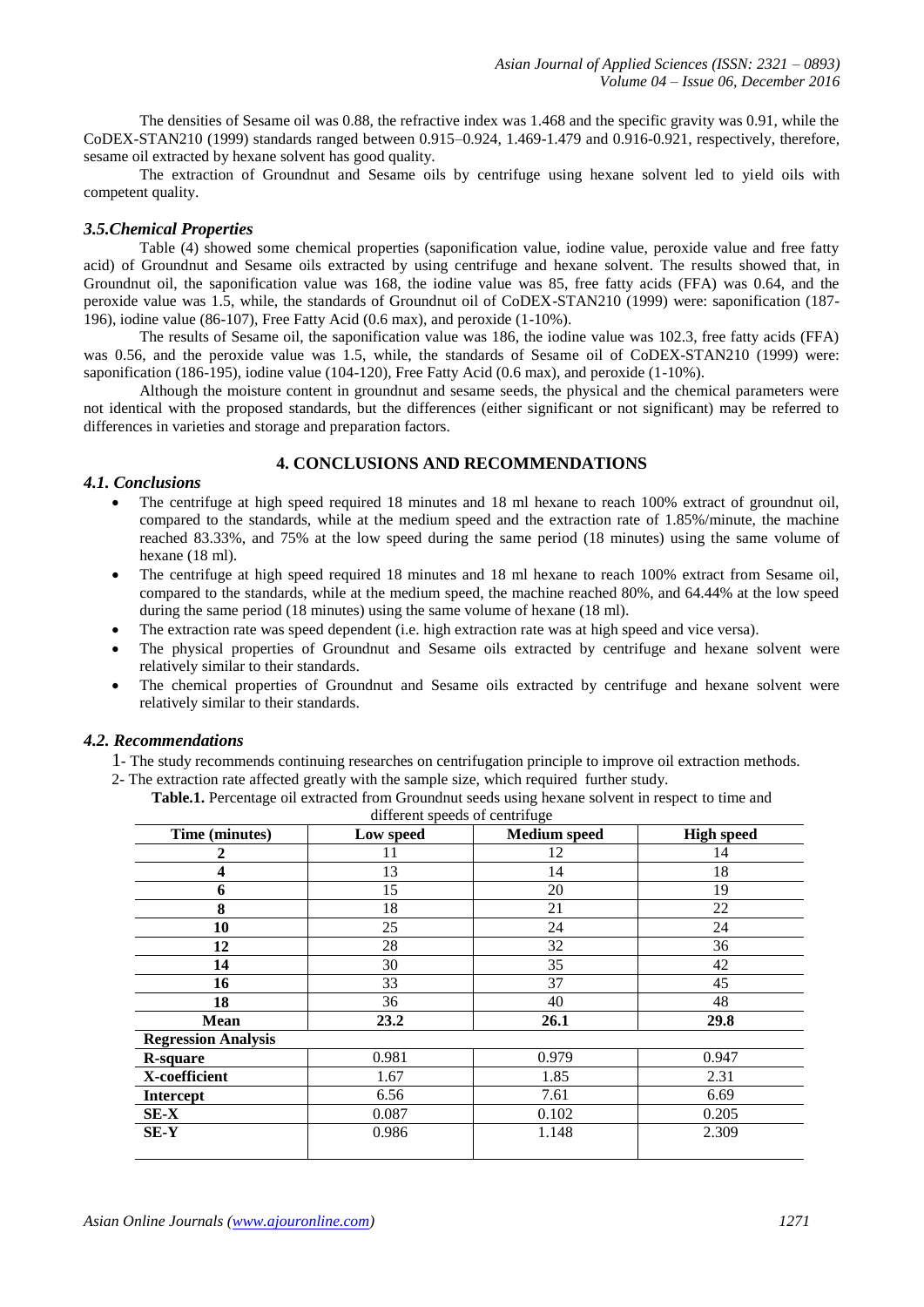The densities of Sesame oil was 0.88, the refractive index was 1.468 and the specific gravity was 0.91, while the CoDEX-STAN210 (1999) standards ranged between 0.915–0.924, 1.469-1.479 and 0.916-0.921, respectively, therefore, sesame oil extracted by hexane solvent has good quality.

The extraction of Groundnut and Sesame oils by centrifuge using hexane solvent led to yield oils with competent quality.

## *3.5.Chemical Properties*

Table (4) showed some chemical properties (saponification value, iodine value, peroxide value and free fatty acid) of Groundnut and Sesame oils extracted by using centrifuge and hexane solvent. The results showed that, in Groundnut oil, the saponification value was 168, the iodine value was 85, free fatty acids (FFA) was 0.64, and the peroxide value was 1.5, while, the standards of Groundnut oil of CoDEX-STAN210 (1999) were: saponification (187- 196), iodine value (86-107), Free Fatty Acid (0.6 max), and peroxide (1-10%).

The results of Sesame oil, the saponification value was 186, the iodine value was 102.3, free fatty acids (FFA) was 0.56, and the peroxide value was 1.5, while, the standards of Sesame oil of CoDEX-STAN210 (1999) were: saponification (186-195), iodine value (104-120), Free Fatty Acid (0.6 max), and peroxide (1-10%).

Although the moisture content in groundnut and sesame seeds, the physical and the chemical parameters were not identical with the proposed standards, but the differences (either significant or not significant) may be referred to differences in varieties and storage and preparation factors.

# **4. CONCLUSIONS AND RECOMMENDATIONS**

#### *4.1. Conclusions*

- The centrifuge at high speed required 18 minutes and 18 ml hexane to reach 100% extract of groundnut oil, compared to the standards, while at the medium speed and the extraction rate of 1.85%/minute, the machine reached 83.33%, and 75% at the low speed during the same period (18 minutes) using the same volume of hexane (18 ml).
- The centrifuge at high speed required 18 minutes and 18 ml hexane to reach 100% extract from Sesame oil, compared to the standards, while at the medium speed, the machine reached 80%, and 64.44% at the low speed during the same period (18 minutes) using the same volume of hexane (18 ml).
- The extraction rate was speed dependent (i.e. high extraction rate was at high speed and vice versa).
- The physical properties of Groundnut and Sesame oils extracted by centrifuge and hexane solvent were relatively similar to their standards.
- The chemical properties of Groundnut and Sesame oils extracted by centrifuge and hexane solvent were relatively similar to their standards.

## *4.2. Recommendations*

- 1- The study recommends continuing researches on centrifugation principle to improve oil extraction methods.
- 2- The extraction rate affected greatly with the sample size, which required further study.

| unicium specus or centringe |           |                     |                   |
|-----------------------------|-----------|---------------------|-------------------|
| Time (minutes)              | Low speed | <b>Medium</b> speed | <b>High speed</b> |
| 2                           | 11        | 12                  | 14                |
| 4                           | 13        | 14                  | 18                |
| 6                           | 15        | 20                  | 19                |
| 8                           | 18        | 21                  | 22                |
| 10                          | 25        | 24                  | 24                |
| 12                          | 28        | 32                  | 36                |
| 14                          | 30        | 35                  | 42                |
| 16                          | 33        | 37                  | 45                |
| 18                          | 36        | 40                  | 48                |
| Mean                        | 23.2      | 26.1                | 29.8              |
| <b>Regression Analysis</b>  |           |                     |                   |
| R-square                    | 0.981     | 0.979               | 0.947             |
| X-coefficient               | 1.67      | 1.85                | 2.31              |
| <b>Intercept</b>            | 6.56      | 7.61                | 6.69              |
| $SE-X$                      | 0.087     | 0.102               | 0.205             |
| SE-Y                        | 0.986     | 1.148               | 2.309             |
|                             |           |                     |                   |

**Table.1.** Percentage oil extracted from Groundnut seeds using hexane solvent in respect to time and different speeds of centrifuge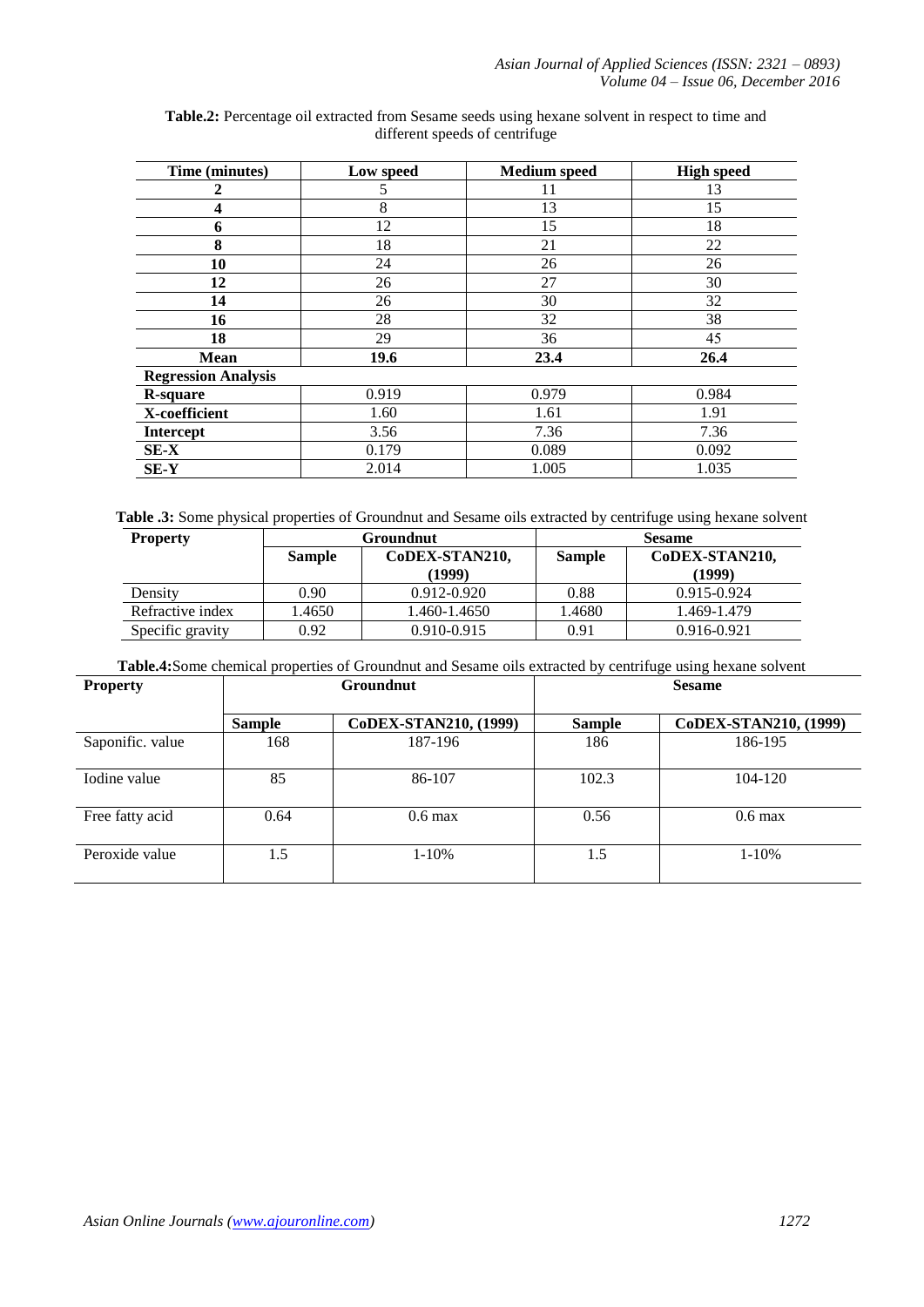| Time (minutes)             | Low speed | <b>Medium</b> speed | <b>High speed</b> |
|----------------------------|-----------|---------------------|-------------------|
| 2                          | 5         | 11                  | 13                |
| 4                          | 8         | 13                  | 15                |
| 6                          | 12        | 15                  | 18                |
| 8                          | 18        | 21                  | 22                |
| 10                         | 24        | 26                  | 26                |
| 12                         | 26        | 27                  | 30                |
| 14                         | 26        | 30                  | 32                |
| 16                         | 28        | 32                  | 38                |
| 18                         | 29        | 36                  | 45                |
| <b>Mean</b>                | 19.6      | 23.4                | 26.4              |
| <b>Regression Analysis</b> |           |                     |                   |
| <b>R</b> -square           | 0.919     | 0.979               | 0.984             |
| X-coefficient              | 1.60      | 1.61                | 1.91              |
| <b>Intercept</b>           | 3.56      | 7.36                | 7.36              |
| $SE-X$                     | 0.179     | 0.089               | 0.092             |
| SE-Y                       | 2.014     | 1.005               | 1.035             |

**Table.2:** Percentage oil extracted from Sesame seeds using hexane solvent in respect to time and different speeds of centrifuge

**Table .3:** Some physical properties of Groundnut and Sesame oils extracted by centrifuge using hexane solvent

| <b>Property</b>  | Groundnut     |                | <b>Sesame</b> |                |
|------------------|---------------|----------------|---------------|----------------|
|                  | <b>Sample</b> | CoDEX-STAN210, | <b>Sample</b> | CoDEX-STAN210, |
|                  |               | (1999)         |               | (1999)         |
| Density          | 0.90          | 0.912-0.920    | 0.88          | 0.915-0.924    |
| Refractive index | 1.4650        | 1.460-1.4650   | 1.4680        | 1.469-1.479    |
| Specific gravity | 0.92          | 0.910-0.915    | 0.91          | 0.916-0.921    |

**Table.4:**Some chemical properties of Groundnut and Sesame oils extracted by centrifuge using hexane solvent

| <b>Property</b>  | <b>Groundnut</b> |                       | <b>Sesame</b> |                       |
|------------------|------------------|-----------------------|---------------|-----------------------|
|                  | <b>Sample</b>    | CoDEX-STAN210, (1999) | <b>Sample</b> | CoDEX-STAN210, (1999) |
| Saponific. value | 168              | 187-196               | 186           | 186-195               |
| Iodine value     | 85               | 86-107                | 102.3         | 104-120               |
| Free fatty acid  | 0.64             | $0.6 \text{ max}$     | 0.56          | $0.6 \text{ max}$     |
| Peroxide value   | 1.5              | $1 - 10%$             | 1.5           | $1 - 10%$             |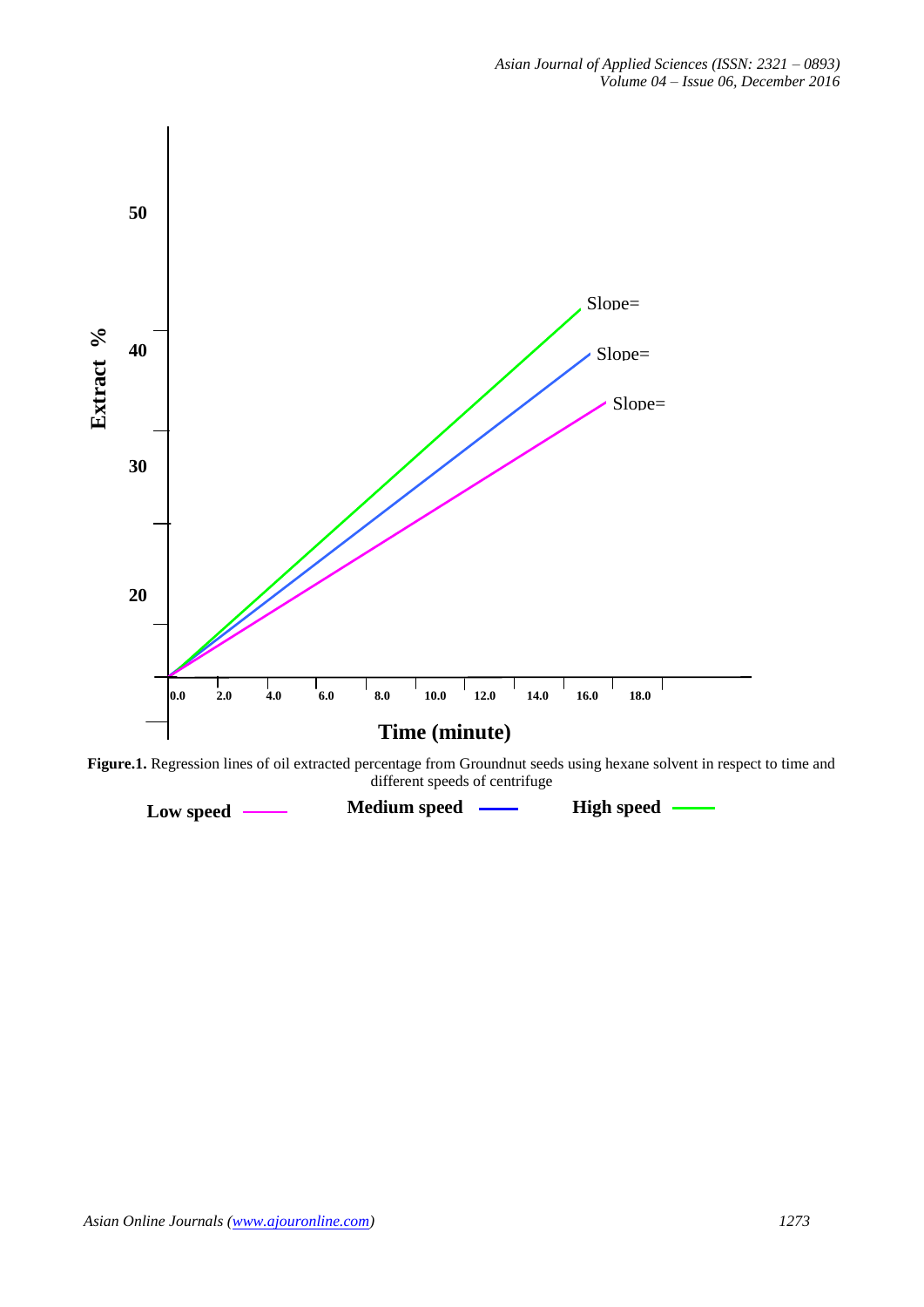

**Figure.1.** Regression lines of oil extracted percentage from Groundnut seeds using hexane solvent in respect to time and different speeds of centrifuge different speeds of centrifuge

**Low speed <u>---</del> Medium speed --- High** speed</u>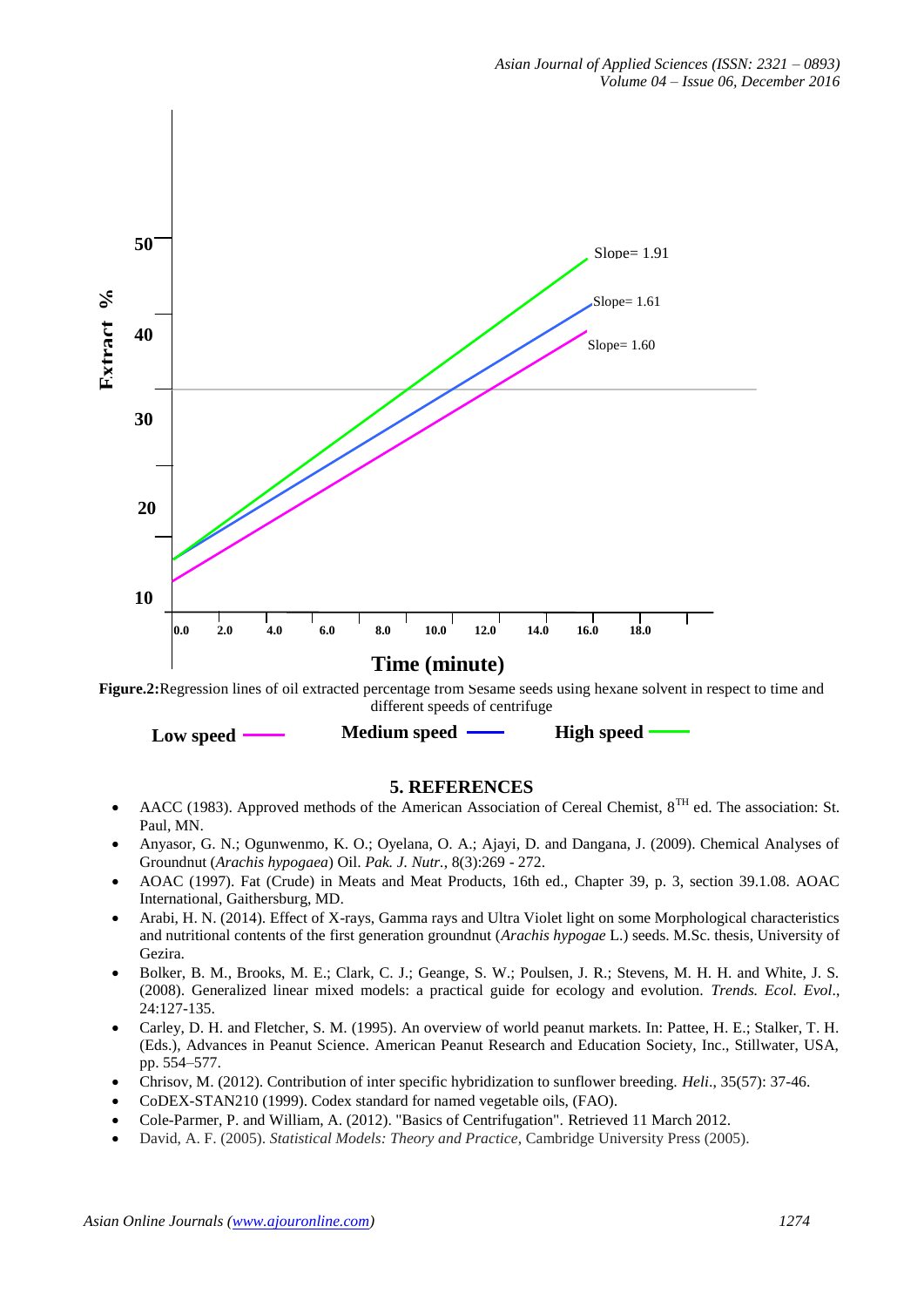

**Figure.2:**Regression lines of oil extracted percentage from Sesame seeds using hexane solvent in respect to time and **0** different speeds of centrifuge

| Low speed | <b>Medium</b> speed | <b>High speed</b> |
|-----------|---------------------|-------------------|
|-----------|---------------------|-------------------|

## **5. REFERENCES**

- AACC (1983). Approved methods of the American Association of Cereal Chemist,  $8^{TH}$  ed. The association: St. Paul, MN.
- Anyasor, G. N.; Ogunwenmo, K. O.; Oyelana, O. A.; Ajayi, D. and Dangana, J. (2009). Chemical Analyses of Groundnut (*Arachis hypogaea*) Oil. *Pak. J. Nutr.*, 8(3):269 - 272.
- AOAC (1997). Fat (Crude) in Meats and Meat Products, 16th ed., Chapter 39, p. 3, section 39.1.08. AOAC International, Gaithersburg, MD.
- Arabi, H. N. (2014). Effect of X-rays, Gamma rays and Ultra Violet light on some Morphological characteristics and nutritional contents of the first generation groundnut (*Arachis hypogae* L.) seeds. M.Sc. thesis, University of Gezira.
- Bolker, B. M., Brooks, M. E.; Clark, C. J.; Geange, S. W.; Poulsen, J. R.; Stevens, M. H. H. and White, J. S. (2008). Generalized linear mixed models: a practical guide for ecology and evolution. *Trends. Ecol. Evol*., 24:127-135.
- Carley, D. H. and Fletcher, S. M. (1995). An overview of world peanut markets. In: Pattee, H. E.; Stalker, T. H. (Eds.), Advances in Peanut Science. American Peanut Research and Education Society, Inc., Stillwater, USA, pp. 554–577.
- Chrisov, M. (2012). Contribution of inter specific hybridization to sunflower breeding. *Heli*., 35(57): 37-46.
- CoDEX-STAN210 (1999). Codex standard for named vegetable oils, (FAO).
- Cole-Parmer, P. and William, A. (2012). "Basics of Centrifugation". Retrieved 11 March 2012.
- David, A. F. (2005). *Statistical Models: Theory and Practice*, Cambridge University Press (2005).